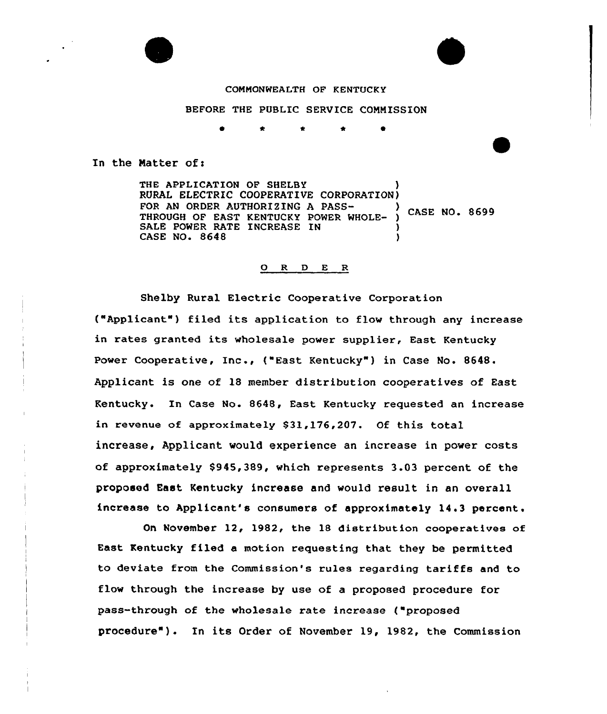

### COMMONWEALTH OF KENTUCKY

BEFORE THE PUBLIC SERVICE CONNISSION

In the Matter of:

THE APPLICATION OF SHELBY RURAL ELECTRIC COOPERATIVE CORPORATION)<br>FOR AN ORDER AUTHORIZING A PASS-TOR AN ORDER AUTHORIZING A PASS-<br>THROUGH OF EAST KENTUCKY POWER WHOLE- ) CASE NO. 8699 SALE POWER RATE INCREASE IN CASE NO. 8648 )

#### 0 R <sup>D</sup> E R

Shelby Rural Electric Cooperative Corporation ("Applicant") filed its application to flow through any increase in rates granted its wholesale power supplier, East Kentucky Power Cooperative, Inc., {"East Kentucky" ) in Case No. 8648. Applicant is one of 18 member distribution cooperatives of East Kentucky. In Case No. 8648, East Kentucky requested an increase in revenue of approximately \$31,176,207. Of this total increase, Applicant would experience an increase in power costs of approximately \$945,389, which represents 3.03 percent of the proposed East Kentucky increase and would result in an overall increase to Applicant's consumers of approximately 14.3 percent

On November 12, 1982< the 18 distribution cooperatives of East Kentucky filed a motion requesting that they be permitted to deviate from the Commission's rules regarding tar<mark>iffs a</mark>nd to flow through the increase by use of a proposed procedure for pass-through of the wholesale rate increase ("proposed procedure") . In its Order of November 19, 1982, the Commission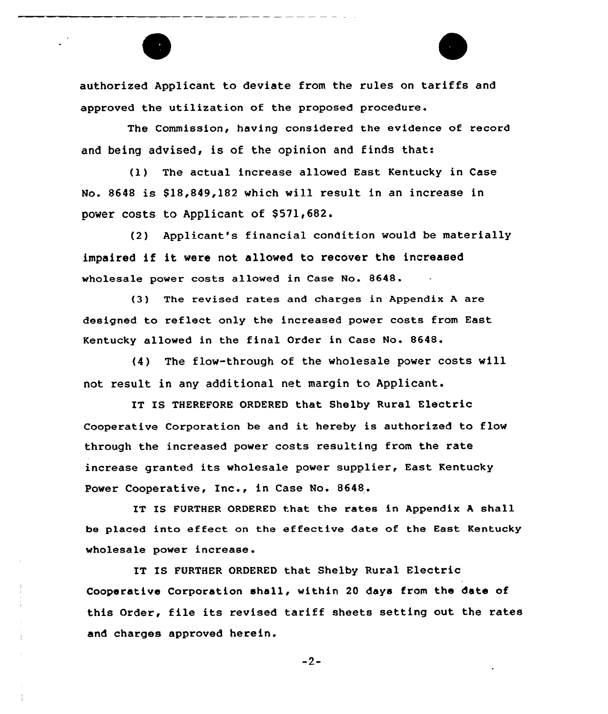authorized Applicant to deviate from the rules on tariffs and approved the utilization of the proposed procedure.

The Commission, having considered the evidence of record and being advised, is of the opinion and finds that:

(1) The actual increase allowed East Kentucky in Case No. 8648 is \$18,849,182 which will result in an increase in power costs to Applicant of \$571,682.

(2) Applicant's financial condition would be materially impaired if it were not allowed to recover the increased who1esa1e power costs allowed in Case No. 8648.

(3) The revised rates and charges in Appendix <sup>A</sup> are designed to reflect only the increased power costs from East Kentucky allowed in the final Order in Case No. 8648.

(4) The flow-through of the wholesale power costs will not result in any additional net margin to Applicant.

IT IS THEREFORE ORDERED that Shelby Rural Electric Cooperative Corporation be and it hereby is authorized to flow through the increased power costs resulting from the rate increase granted its wholesale power supplier, East Kentucky Power Cooperative, Inc., in Case No. 8648.

IT IS FURTHER ORDERED that the rates in Appendix <sup>A</sup> shall be placed into effect on the effective date of the East Kentucky wholesale power increase.

IT IS FURTHER ORDERED that Shelby Rural Electric Cooperative Corporation shall, within 20 days from the date of this Order, file its revised tariff sheets setting out the rates and charges approved herein.

 $-2-$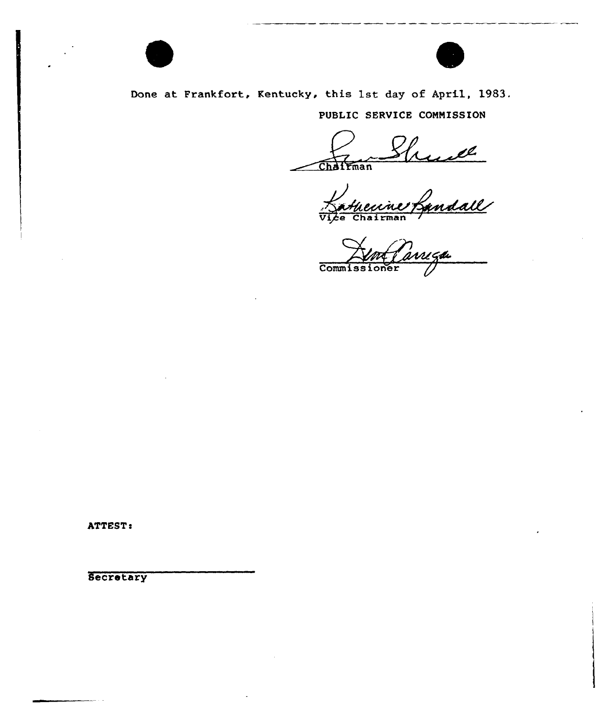

Done at Frankfort, Kentucky, this 1st day of April, 1983.

PUBLIC SERVICE CONNISSION

Chalrman

huil hairman

 $\frac{1}{2}$  $Comm1ss1$ 

ATTEST:

**Secretary**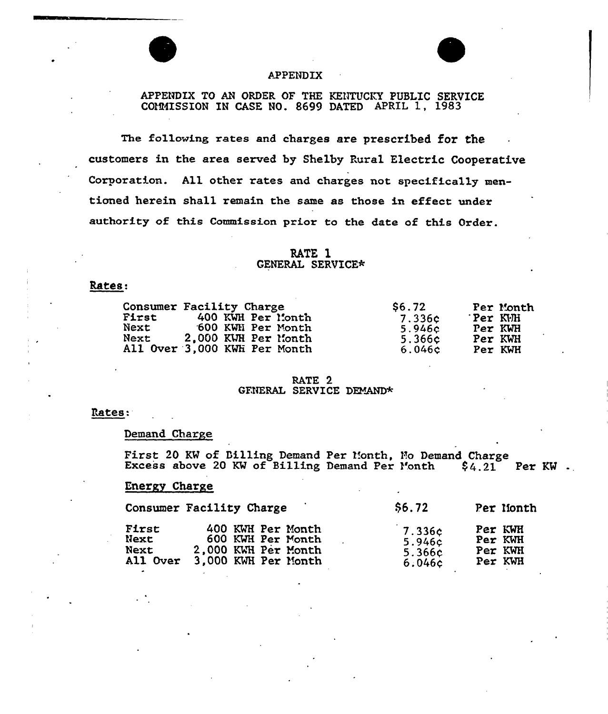## APPENDIX

# APPENDIX TO AN ORDER OF THE KENTUCKY PUBLIC SERVICE COMMISSION IN CASE NO. 8699 DATED APRIL 1, 1983

The following rates and charges are prescribed for the customers in the area served by Shelby Rural Electric Cooperative Corporation. All other rates and charges not specifica11y mentioned herein shall remain the same as those in effect under authority of this Commission prior to the date of this Order.

### RATE 1 GENERAL SERVICE\*

### Rates:

| <b>First</b><br>Next<br>Next | Consumer Facility Charge<br>400 KWH Per Month<br>600 KWH Per Month<br>2.000 KWH Per Month | \$6.72<br>7.336c<br>5.946c<br>5.366c | Per Month<br>Per KVH<br>Per KWH<br>Per KWH |
|------------------------------|-------------------------------------------------------------------------------------------|--------------------------------------|--------------------------------------------|
|                              | All Over 3,000 KWH Per Month                                                              | 6.046c                               | Per KWH                                    |

#### RATE 2 GENERAL SERVICE DEMAND\*

### Rates:

### Demand Charge

First 20 KW of Billing Demand Per Month, No Demand Charge Excess above 20 KW of Billing Demand Per Month  $\;$  \$4.21 Per KW ...

### Energy Charge

|                 | Consumer Facility Charge | \$6.72 | Per Month |
|-----------------|--------------------------|--------|-----------|
| First           | 400 KWH Per Month        | 7.336c | Per KWH   |
| Next            | 600 KWH Per Month        | 5.946c | Per KWH   |
| Next            | 2,000 KWH Per Month      | 5.366c | Per KWH   |
| <b>All Over</b> | 3.000 KWH Per Month      | 6.046c | Per KWH   |